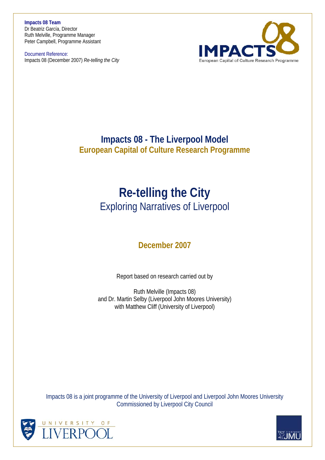**Impacts 08 Team**  Dr Beatriz García, Director Ruth Melville, Programme Manager Peter Campbell, Programme Assistant

Document Reference: Impacts 08 (December 2007) *Re-telling the City* 



# **Impacts 08 - The Liverpool Model European Capital of Culture Research Programme**

# **Re-telling the City** Exploring Narratives of Liverpool

# **December 2007**

Report based on research carried out by

Ruth Melville (Impacts 08) and Dr. Martin Selby (Liverpool John Moores University) with Matthew Cliff (University of Liverpool)

Impacts 08 is a joint programme of the University of Liverpool and Liverpool John Moores University Commissioned by Liverpool City Council



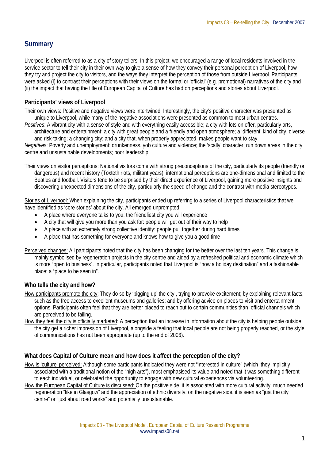## **Summary**

Liverpool is often referred to as a city of story tellers. In this project, we encouraged a range of local residents involved in the service sector to tell their city in their own way to give a sense of how they convey their personal perception of Liverpool, how they try and project the city to visitors, and the ways they interpret the perception of those from outside Liverpool. Participants were asked (i) to contrast their perceptions with their views on the formal or 'official' (e.g. promotional) narratives of the city and (ii) the impact that having the title of European Capital of Culture has had on perceptions and stories about Liverpool.

## **Participants' views of Liverpool**

Their own views: Positive and negative views were intertwined. Interestingly, the city's positive character was presented as unique to Liverpool, while many of the negative associations were presented as common to most urban centres.

*Positives*: A vibrant city with a sense of style and with everything easily accessible; a city with lots on offer, particularly arts, architecture and entertainment; a city with great people and a friendly and open atmosphere; a 'different' kind of city, diverse and risk-taking; a changing city; and a city that, when properly appreciated, makes people want to stay.

*Negatives*: Poverty and unemployment; drunkenness, yob culture and violence; the 'scally' character; run down areas in the city centre and unsustainable developments; poor leadership.

Their views on visitor perceptions: National visitors come with strong preconceptions of the city, particularly its people (friendly or dangerous) and recent history (Toxteth riots, militant years); international perceptions are one-dimensional and limited to the Beatles and football. Visitors tend to be surprised by their direct experience of Liverpool, gaining more positive insights and discovering unexpected dimensions of the city, particularly the speed of change and the contrast with media stereotypes.

Stories of Liverpool: When explaining the city, participants ended up referring to a series of Liverpool characteristics that we have identified as 'core stories' about the city. All emerged unprompted:

- A place where everyone talks to you: the friendliest city you will experience
- A city that will give you more than you ask for: people will get out of their way to help
- A place with an extremely strong collective identity: people pull together during hard times
- A place that has something for everyone and knows how to give you a good time

Perceived changes: All participants noted that the city has been changing for the better over the last ten years. This change is mainly symbolised by regeneration projects in the city centre and aided by a refreshed political and economic climate which is more "open to business". In particular, participants noted that Liverpool is "now a holiday destination" and a fashionable place: a "place to be seen in".

## **Who tells the city and how?**

- How participants promote the city: They do so by 'bigging up' the city , trying to provoke excitement; by explaining relevant facts, such as the free access to excellent museums and galleries; and by offering advice on places to visit and entertainment options. Participants often feel that they are better placed to reach out to certain communities than official channels which are perceived to be failing.
- How they feel the city is officially marketed: A perception that an increase in information about the city is helping people outside the city get a richer impression of Liverpool, alongside a feeling that local people are not being properly reached, or the style of communications has not been appropriate (up to the end of 2006).

#### **What does Capital of Culture mean and how does it affect the perception of the city?**

How is 'culture' perceived: Although some participants indicated they were not "interested in culture" (which they implicitly associated with a traditional notion of the "high arts"), most emphasised its value and noted that it was something different to each individual, or celebrated the opportunity to engage with new cultural experiences via volunteering.

How the European Capital of Culture is discussed: On the positive side, it is associated with more cultural activity, much needed regeneration "like in Glasgow" and the appreciation of ethnic diversity; on the negative side, it is seen as "just the city centre" or "just about road works" and potentially unsustainable.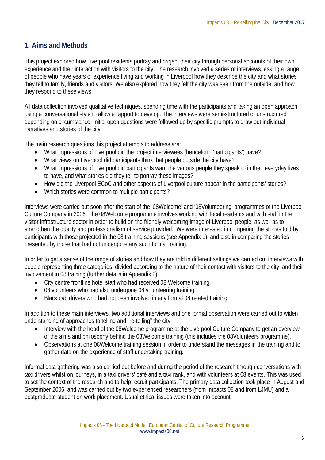## **1. Aims and Methods**

This project explored how Liverpool residents portray and project their city through personal accounts of their own experience and their interaction with visitors to the city. The research involved a series of interviews, asking a range of people who have years of experience living and working in Liverpool how they describe the city and what stories they tell to family, friends and visitors. We also explored how they felt the city was seen from the outside, and how they respond to these views.

All data collection involved qualitative techniques, spending time with the participants and taking an open approach, using a conversational style to allow a rapport to develop. The interviews were semi-structured or unstructured depending on circumstance. Initial open questions were followed up by specific prompts to draw out individual narratives and stories of the city.

The main research questions this project attempts to address are:

- What impressions of Liverpool did the project interviewees (henceforth 'participants') have?
- What views on Liverpool did participants think that people outside the city have?
- What impressions of Liverpool did participants want the various people they speak to in their everyday lives to have, and what stories did they tell to portray these images?
- How did the Liverpool ECoC and other aspects of Liverpool culture appear in the participants' stories?
- Which stories were common to multiple participants?

Interviews were carried out soon after the start of the '08Welcome' and '08Volunteering' programmes of the Liverpool Culture Company in 2006. The 08Welcome programme involves working with local residents and with staff in the visitor infrastructure sector in order to build on the friendly welcoming image of Liverpool people, as well as to strengthen the quality and professionalism of service provided. We were interested in comparing the stories told by participants with those projected in the 08 training sessions (see Appendix 1), and also in comparing the stories presented by those that had not undergone any such formal training.

In order to get a sense of the range of stories and how they are told in different settings we carried out interviews with people representing three categories, divided according to the nature of their contact with visitors to the city, and their involvement in 08 training (further details in Appendix 2).

- City centre frontline hotel staff who had received 08 Welcome training
- 08 volunteers who had also undergone 08 volunteering training
- Black cab drivers who had not been involved in any formal 08 related training

In addition to these main interviews, two additional interviews and one formal observation were carried out to widen understanding of approaches to telling and "re-telling" the city,

- Interview with the head of the 08Welcome programme at the Liverpool Culture Company to get an overview of the aims and philosophy behind the 08Welcome training (this includes the 08Volunteers programme).
- Observations at one 08Welcome training session in order to understand the messages in the training and to gather data on the experience of staff undertaking training.

Informal data gathering was also carried out before and during the period of the research through conversations with taxi drivers whilst on journeys, in a taxi drivers' café and a taxi rank, and with volunteers at 08 events. This was used to set the context of the research and to help recruit participants. The primary data collection took place in August and September 2006, and was carried out by two experienced researchers (from Impacts 08 and from LJMU) and a postgraduate student on work placement. Usual ethical issues were taken into account.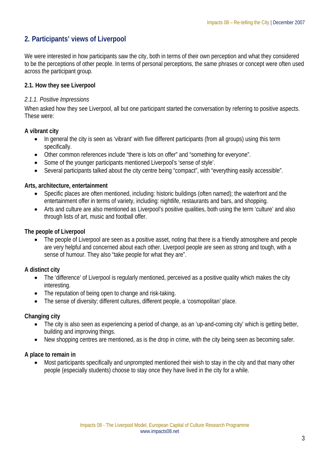## **2. Participants' views of Liverpool**

We were interested in how participants saw the city, both in terms of their own perception and what they considered to be the perceptions of other people. In terms of personal perceptions, the same phrases or concept were often used across the participant group.

## **2.1. How they see Liverpool**

## *2.1.1. Positive Impressions*

When asked how they see Liverpool, all but one participant started the conversation by referring to positive aspects. These were:

## **A vibrant city**

- In general the city is seen as 'vibrant' with five different participants (from all groups) using this term specifically.
- Other common references include "there is lots on offer" and "something for everyone".
- Some of the younger participants mentioned Liverpool's 'sense of style'.
- Several participants talked about the city centre being "compact", with "everything easily accessible".

## **Arts, architecture, entertainment**

- Specific places are often mentioned, including: historic buildings (often named); the waterfront and the entertainment offer in terms of variety, including: nightlife, restaurants and bars, and shopping.
- Arts and culture are also mentioned as Liverpool's positive qualities, both using the term 'culture' and also through lists of art, music and football offer.

## **The people of Liverpool**

• The people of Liverpool are seen as a positive asset, noting that there is a friendly atmosphere and people are very helpful and concerned about each other. Liverpool people are seen as strong and tough, with a sense of humour. They also "take people for what they are".

## **A distinct city**

- The 'difference' of Liverpool is regularly mentioned, perceived as a positive quality which makes the city interesting.
- The reputation of being open to change and risk-taking.
- The sense of diversity; different cultures, different people, a 'cosmopolitan' place.

## **Changing city**

- The city is also seen as experiencing a period of change, as an 'up-and-coming city' which is getting better, building and improving things.
- New shopping centres are mentioned, as is the drop in crime, with the city being seen as becoming safer.

## **A place to remain in**

• Most participants specifically and unprompted mentioned their wish to stay in the city and that many other people (especially students) choose to stay once they have lived in the city for a while.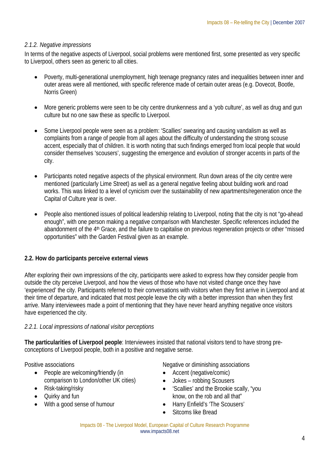## *2.1.2. Negative impressions*

In terms of the negative aspects of Liverpool, social problems were mentioned first, some presented as very specific to Liverpool, others seen as generic to all cities.

- Poverty, multi-generational unemployment, high teenage pregnancy rates and inequalities between inner and outer areas were all mentioned, with specific reference made of certain outer areas (e.g. Dovecot, Bootle, Norris Green)
- More generic problems were seen to be city centre drunkenness and a 'yob culture', as well as drug and gun culture but no one saw these as specific to Liverpool.
- Some Liverpool people were seen as a problem: 'Scallies' swearing and causing vandalism as well as complaints from a range of people from all ages about the difficulty of understanding the strong scouse accent, especially that of children. It is worth noting that such findings emerged from local people that would consider themselves 'scousers', suggesting the emergence and evolution of stronger accents in parts of the city.
- Participants noted negative aspects of the physical environment. Run down areas of the city centre were mentioned (particularly Lime Street) as well as a general negative feeling about building work and road works. This was linked to a level of cynicism over the sustainability of new apartments/regeneration once the Capital of Culture year is over.
- People also mentioned issues of political leadership relating to Liverpool, noting that the city is not "go-ahead enough", with one person making a negative comparison with Manchester. Specific references included the abandonment of the 4<sup>th</sup> Grace, and the failure to capitalise on previous regeneration projects or other "missed opportunities" with the Garden Festival given as an example.

## **2.2. How do participants perceive external views**

After exploring their own impressions of the city, participants were asked to express how they consider people from outside the city perceive Liverpool, and how the views of those who have not visited change once they have 'experienced' the city. Participants referred to their conversations with visitors when they first arrive in Liverpool and at their time of departure, and indicated that most people leave the city with a better impression than when they first arrive. Many interviewees made a point of mentioning that they have never heard anything negative once visitors have experienced the city.

## *2.2.1. Local impressions of national visitor perceptions*

**The particularities of Liverpool people**: Interviewees insisted that national visitors tend to have strong preconceptions of Liverpool people, both in a positive and negative sense.

Positive associations

- People are welcoming/friendly (in comparison to London/other UK cities)
- Risk-taking/risky
- Quirky and fun
- With a good sense of humour

Negative or diminishing associations

- Accent (negative/comic)
- Jokes robbing Scousers
- 'Scallies' and the Brookie scally, "you know, on the rob and all that"
- Harry Enfield's 'The Scousers'
- Sitcoms like Bread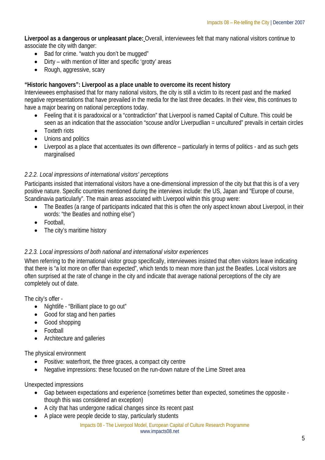**Liverpool as a dangerous or unpleasant place:** Overall, interviewees felt that many national visitors continue to associate the city with danger:

- Bad for crime. "watch you don't be mugged"
- Dirty with mention of litter and specific 'grotty' areas
- Rough, aggressive, scary

## **"Historic hangovers": Liverpool as a place unable to overcome its recent history**

Interviewees emphasised that for many national visitors, the city is still a victim to its recent past and the marked negative representations that have prevailed in the media for the last three decades. In their view, this continues to have a major bearing on national perceptions today.

- Feeling that it is paradoxical or a "contradiction" that Liverpool is named Capital of Culture. This could be seen as an indication that the association "scouse and/or Liverpudlian = uncultured" prevails in certain circles
- Toxteth riots
- Unions and politics
- Liverpool as a place that accentuates its own difference particularly in terms of politics and as such gets marginalised

## *2.2.2. Local impressions of international visitors' perceptions*

Participants insisted that international visitors have a one-dimensional impression of the city but that this is of a very positive nature. Specific countries mentioned during the interviews include: the US, Japan and "Europe of course, Scandinavia particularly". The main areas associated with Liverpool within this group were:

- The Beatles (a range of participants indicated that this is often the only aspect known about Liverpool, in their words: "the Beatles and nothing else")
- Football,
- The city's maritime history

## *2.2.3. Local impressions of both national and international visitor experiences*

When referring to the international visitor group specifically, interviewees insisted that often visitors leave indicating that there is "a lot more on offer than expected", which tends to mean more than just the Beatles. Local visitors are often surprised at the rate of change in the city and indicate that average national perceptions of the city are completely out of date.

The city's offer -

- Nightlife "Brilliant place to go out"
- Good for stag and hen parties
- Good shopping
- Football
- Architecture and galleries

The physical environment

- Positive: waterfront, the three graces, a compact city centre
- Negative impressions: these focused on the run-down nature of the Lime Street area

Unexpected impressions

- Gap between expectations and experience (sometimes better than expected, sometimes the opposite though this was considered an exception)
- A city that has undergone radical changes since its recent past
- A place were people decide to stay, particularly students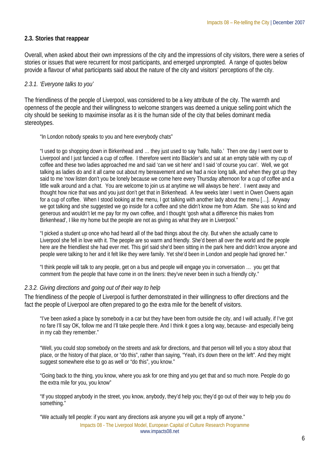## **2.3. Stories that reappear**

Overall, when asked about their own impressions of the city and the impressions of city visitors, there were a series of stories or issues that were recurrent for most participants, and emerged unprompted. A range of quotes below provide a flavour of what participants said about the nature of the city and visitors' perceptions of the city.

## *2.3.1. 'Everyone talks to you'*

The friendliness of the people of Liverpool, was considered to be a key attribute of the city. The warmth and openness of the people and their willingness to welcome strangers was deemed a unique selling point which the city should be seeking to maximise insofar as it is the human side of the city that belies dominant media stereotypes.

"In London nobody speaks to you and here everybody chats"

"I used to go shopping down in Birkenhead and … they just used to say 'hallo, hallo.' Then one day I went over to Liverpool and I just fancied a cup of coffee. I therefore went into Blackler's and sat at an empty table with my cup of coffee and these two ladies approached me and said 'can we sit here' and I said 'of course you can'. Well, we got talking as ladies do and it all came out about my bereavement and we had a nice long talk, and when they got up they said to me 'now listen don't you be lonely because we come here every Thursday afternoon for a cup of coffee and a little walk around and a chat. You are welcome to join us at anytime we will always be here'. I went away and thought how nice that was and you just don't get that in Birkenhead. A few weeks later I went in Owen Owens again for a cup of coffee. When I stood looking at the menu, I got talking with another lady about the menu […]. Anyway we got talking and she suggested we go inside for a coffee and she didn't know me from Adam. She was so kind and generous and wouldn't let me pay for my own coffee, and I thought 'gosh what a difference this makes from Birkenhead', I like my home but the people are not as giving as what they are in Liverpool."

"I picked a student up once who had heard all of the bad things about the city. But when she actually came to Liverpool she fell in love with it. The people are so warm and friendly. She'd been all over the world and the people here are the friendliest she had ever met. This girl said she'd been sitting in the park here and didn't know anyone and people were talking to her and it felt like they were family. Yet she'd been in London and people had ignored her."

"I think people will talk to any people, get on a bus and people will engage you in conversation … you get that comment from the people that have come in on the liners: they've never been in such a friendly city."

#### *2.3.2. Giving directions and going out of their way to help*

The friendliness of the people of Liverpool is further demonstrated in their willingness to offer directions and the fact the people of Liverpool are often prepared to go the extra mile for the benefit of visitors.

"I've been asked a place by somebody in a car but they have been from outside the city, and I will actually, if I've got no fare I'll say OK, follow me and I'll take people there. And I think it goes a long way, because- and especially being in my cab they remember."

"Well, you could stop somebody on the streets and ask for directions, and that person will tell you a story about that place, or the history of that place, or "do this", rather than saying, "Yeah, it's down there on the left". And they might suggest somewhere else to go as well or "do this", you know."

"Going back to the thing, you know, where you ask for one thing and you get that and so much more. People do go the extra mile for you, you know"

"If you stopped anybody in the street, you know, anybody, they'd help you; they'd go out of their way to help you do something."

"We actually tell people: if you want any directions ask anyone you will get a reply off anyone."

Impacts 08 - The Liverpool Model, European Capital of Culture Research Programme www.impacts08.net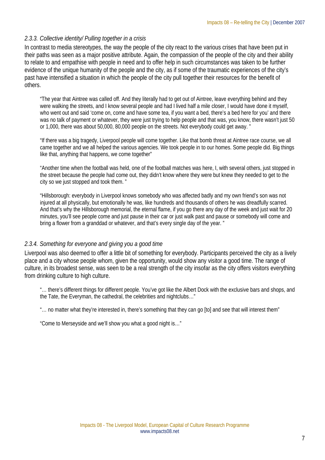## *2.3.3. Collective identity/ Pulling together in a crisis*

In contrast to media stereotypes, the way the people of the city react to the various crises that have been put in their paths was seen as a major positive attribute. Again, the compassion of the people of the city and their ability to relate to and empathise with people in need and to offer help in such circumstances was taken to be further evidence of the unique humanity of the people and the city, as if some of the traumatic experiences of the city's past have intensified a situation in which the people of the city pull together their resources for the benefit of others.

"The year that Aintree was called off. And they literally had to get out of Aintree, leave everything behind and they were walking the streets, and I know several people and had I lived half a mile closer, I would have done it myself, who went out and said 'come on, come and have some tea, if you want a bed, there's a bed here for you' and there was no talk of payment or whatever, they were just trying to help people and that was, you know, there wasn't just 50 or 1,000, there was about 50,000, 80,000 people on the streets. Not everybody could get away. "

"If there was a big tragedy, Liverpool people will come together. Like that bomb threat at Aintree race course, we all came together and we all helped the various agencies. We took people in to our homes. Some people did. Big things like that, anything that happens, we come together"

"Another time when the football was held, one of the football matches was here, I, with several others, just stopped in the street because the people had come out, they didn't know where they were but knew they needed to get to the city so we just stopped and took them. "

"Hillsborough: everybody in Liverpool knows somebody who was affected badly and my own friend's son was not injured at all physically, but emotionally he was, like hundreds and thousands of others he was dreadfully scarred. And that's why the Hillsborough memorial, the eternal flame, if you go there any day of the week and just wait for 20 minutes, you'll see people come and just pause in their car or just walk past and pause or somebody will come and bring a flower from a granddad or whatever, and that's every single day of the year. "

## *2.3.4. Something for everyone and giving you a good time*

Liverpool was also deemed to offer a little bit of something for everybody. Participants perceived the city as a lively place and a city whose people whom, given the opportunity, would show any visitor a good time. The range of culture, in its broadest sense, was seen to be a real strength of the city insofar as the city offers visitors everything from drinking culture to high culture.

"… there's different things for different people. You've got like the Albert Dock with the exclusive bars and shops, and the Tate, the Everyman, the cathedral, the celebrities and nightclubs…"

"… no matter what they're interested in, there's something that they can go [to] and see that will interest them"

"Come to Merseyside and we'll show you what a good night is…"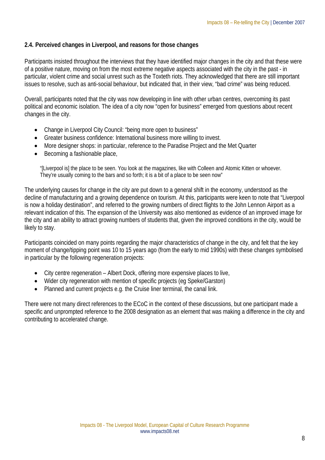## **2.4. Perceived changes in Liverpool, and reasons for those changes**

Participants insisted throughout the interviews that they have identified major changes in the city and that these were of a positive nature, moving on from the most extreme negative aspects associated with the city in the past - in particular, violent crime and social unrest such as the Toxteth riots. They acknowledged that there are still important issues to resolve, such as anti-social behaviour, but indicated that, in their view, "bad crime" was being reduced.

Overall, participants noted that the city was now developing in line with other urban centres, overcoming its past political and economic isolation. The idea of a city now "open for business" emerged from questions about recent changes in the city.

- Change in Liverpool City Council: "being more open to business"
- Greater business confidence: International business more willing to invest.
- More designer shops: in particular, reference to the Paradise Project and the Met Quarter
- Becoming a fashionable place,

"[Liverpool is] the place to be seen. You look at the magazines, like with Colleen and Atomic Kitten or whoever. They're usually coming to the bars and so forth; it is a bit of a place to be seen now"

The underlying causes for change in the city are put down to a general shift in the economy, understood as the decline of manufacturing and a growing dependence on tourism. At this, participants were keen to note that "Liverpool is now a holiday destination", and referred to the growing numbers of direct flights to the John Lennon Airport as a relevant indication of this. The expansion of the University was also mentioned as evidence of an improved image for the city and an ability to attract growing numbers of students that, given the improved conditions in the city, would be likely to stay.

Participants coincided on many points regarding the major characteristics of change in the city, and felt that the key moment of change/tipping point was 10 to 15 years ago (from the early to mid 1990s) with these changes symbolised in particular by the following regeneration projects:

- City centre regeneration Albert Dock, offering more expensive places to live,
- Wider city regeneration with mention of specific projects (eg Speke/Garston)
- Planned and current projects e.g. the Cruise liner terminal, the canal link.

There were not many direct references to the ECoC in the context of these discussions, but one participant made a specific and unprompted reference to the 2008 designation as an element that was making a difference in the city and contributing to accelerated change.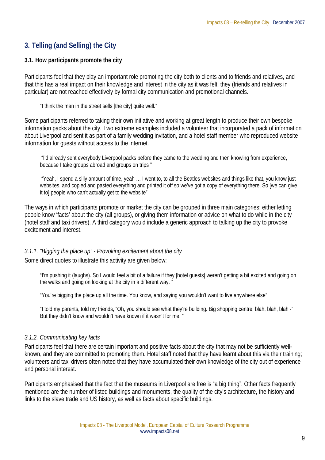## **3. Telling (and Selling) the City**

## **3.1. How participants promote the city**

Participants feel that they play an important role promoting the city both to clients and to friends and relatives, and that this has a real impact on their knowledge and interest in the city as it was felt, they (friends and relatives in particular) are not reached effectively by formal city communication and promotional channels.

"I think the man in the street sells [the city] quite well."

Some participants referred to taking their own initiative and working at great length to produce their own bespoke information packs about the city. Two extreme examples included a volunteer that incorporated a pack of information about Liverpool and sent it as part of a family wedding invitation, and a hotel staff member who reproduced website information for guests without access to the internet.

 "I'd already sent everybody Liverpool packs before they came to the wedding and then knowing from experience, because I take groups abroad and groups on trips "

 "Yeah, I spend a silly amount of time, yeah … I went to, to all the Beatles websites and things like that, you know just websites, and copied and pasted everything and printed it off so we've got a copy of everything there. So [we can give it to] people who can't actually get to the website"

The ways in which participants promote or market the city can be grouped in three main categories: either letting people know 'facts' about the city (all groups), or giving them information or advice on what to do while in the city (hotel staff and taxi drivers). A third category would include a generic approach to talking up the city to provoke excitement and interest.

#### *3.1.1. "Bigging the place up" - Provoking excitement about the city*

Some direct quotes to illustrate this activity are given below:

"I'm pushing it (laughs). So I would feel a bit of a failure if they [hotel guests] weren't getting a bit excited and going on the walks and going on looking at the city in a different way. "

"You're bigging the place up all the time. You know, and saying you wouldn't want to live anywhere else"

"I told my parents, told my friends, "Oh, you should see what they're building. Big shopping centre, blah, blah, blah -" But they didn't know and wouldn't have known if it wasn't for me. "

#### *3.1.2. Communicating key facts*

Participants feel that there are certain important and positive facts about the city that may not be sufficiently wellknown, and they are committed to promoting them. Hotel staff noted that they have learnt about this via their training; volunteers and taxi drivers often noted that they have accumulated their own knowledge of the city out of experience and personal interest.

Participants emphasised that the fact that the museums in Liverpool are free is "a big thing". Other facts frequently mentioned are the number of listed buildings and monuments, the quality of the city's architecture, the history and links to the slave trade and US history, as well as facts about specific buildings.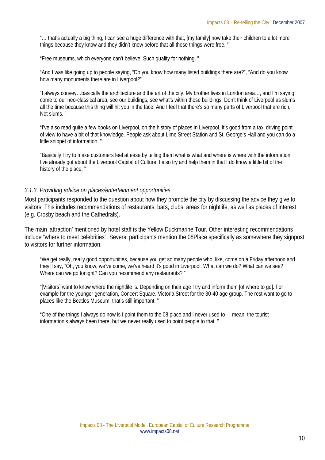"... that's actually a big thing, I can see a huge difference with that, [my family] now take their children to a lot more things because they know and they didn't know before that all these things were free. "

"Free museums, which everyone can't believe. Such quality for nothing. "

"And I was like going up to people saying, "Do you know how many listed buildings there are?", "And do you know how many monuments there are in Liverpool?"

"I always convey…basically the architecture and the art of the city. My brother lives in London area…, and I'm saying come to our neo-classical area, see our buildings, see what's within those buildings. Don't think of Liverpool as slums all the time because this thing will hit you in the face. And I feel that there's so many parts of Liverpool that are rich. Not slums. "

"I've also read quite a few books on Liverpool, on the history of places in Liverpool. It's good from a taxi driving point of view to have a bit of that knowledge. People ask about Lime Street Station and St. George's Hall and you can do a little snippet of information. "

"Basically I try to make customers feel at ease by telling them what is what and where is where with the information I've already got about the Liverpool Capital of Culture. I also try and help them in that I do know a little bit of the history of the place. "

#### *3.1.3. Providing advice on places/entertainment opportunities*

Most participants responded to the question about how they promote the city by discussing the advice they give to visitors. This includes recommendations of restaurants, bars, clubs, areas for nightlife, as well as places of interest (e.g. Crosby beach and the Cathedrals).

The main 'attraction' mentioned by hotel staff is the Yellow Duckmarine Tour. Other interesting recommendations include "where to meet celebrities". Several participants mention the 08Place specifically as somewhere they signpost to visitors for further information.

"We get really, really good opportunities, because you get so many people who, like, come on a Friday afternoon and they'll say, "Oh, you know, we've come, we've heard it's good in Liverpool. What can we do? What can we see? Where can we go tonight? Can you recommend any restaurants? "

"[Visitors] want to know where the nightlife is. Depending on their age I try and inform them [of where to go]. For example for the younger generation, Concert Square. Victoria Street for the 30-40 age group. The rest want to go to places like the Beatles Museum, that's still important. "

"One of the things I always do now is I point them to the 08 place and I never used to - I mean, the tourist information's always been there, but we never really used to point people to that. "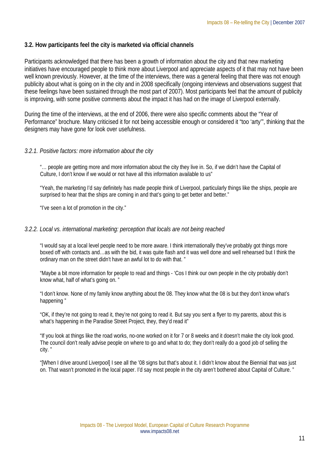## **3.2. How participants feel the city is marketed via official channels**

Participants acknowledged that there has been a growth of information about the city and that new marketing initiatives have encouraged people to think more about Liverpool and appreciate aspects of it that may not have been well known previously. However, at the time of the interviews, there was a general feeling that there was not enough publicity about what is going on in the city and in 2008 specifically (ongoing interviews and observations suggest that these feelings have been sustained through the most part of 2007). Most participants feel that the amount of publicity is improving, with some positive comments about the impact it has had on the image of Liverpool externally.

During the time of the interviews, at the end of 2006, there were also specific comments about the "Year of Performance" brochure. Many criticised it for not being accessible enough or considered it "too 'arty'", thinking that the designers may have gone for look over usefulness.

## *3.2.1. Positive factors: more information about the city*

"… people are getting more and more information about the city they live in. So, if we didn't have the Capital of Culture, I don't know if we would or not have all this information available to us"

"Yeah, the marketing I'd say definitely has made people think of Liverpool, particularly things like the ships, people are surprised to hear that the ships are coming in and that's going to get better and better."

"I've seen a lot of promotion in the city."

#### *3.2.2. Local vs. international marketing: perception that locals are not being reached*

"I would say at a local level people need to be more aware. I think internationally they've probably got things more boxed off with contacts and…as with the bid, it was quite flash and it was well done and well rehearsed but I think the ordinary man on the street didn't have an awful lot to do with that. "

"Maybe a bit more information for people to read and things - 'Cos I think our own people in the city probably don't know what, half of what's going on. "

"I don't know. None of my family know anything about the 08. They know what the 08 is but they don't know what's happening "

"OK, if they're not going to read it, they're not going to read it. But say you sent a flyer to my parents, about this is what's happening in the Paradise Street Project, they, they'd read it"

"If you look at things like the road works, no-one worked on it for 7 or 8 weeks and it doesn't make the city look good. The council don't really advise people on where to go and what to do; they don't really do a good job of selling the city. "

"[When I drive around Liverpool] I see all the '08 signs but that's about it. I didn't know about the Biennial that was just on. That wasn't promoted in the local paper. I'd say most people in the city aren't bothered about Capital of Culture. "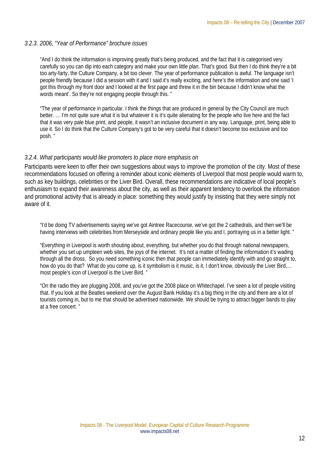#### *3.2.3. 2006, "Year of Performance" brochure issues*

"And I do think the information is improving greatly that's being produced, and the fact that it is categorised very carefully so you can dip into each category and make your own little plan. That's good. But then I do think they're a bit too arty-farty, the Culture Company, a bit too clever. The year of performance publication is awful. The language isn't people friendly because I did a session with it and I said it's really exciting, and here's the information and one said 'I got this through my front door and I looked at the first page and threw it in the bin because I didn't know what the words meant'. So they're not engaging people through this. "

"The year of performance in particular. I think the things that are produced in general by the City Council are much better. … I'm not quite sure what it is but whatever it is it's quite alienating for the people who live here and the fact that it was very pale blue print, and people, it wasn't an inclusive document in any way. Language, print, being able to use it. So I do think that the Culture Company's got to be very careful that it doesn't become too exclusive and too posh. "

#### *3.2.4. What participants would like promoters to place more emphasis on*

Participants were keen to offer their own suggestions about ways to improve the promotion of the city. Most of these recommendations focused on offering a reminder about iconic elements of Liverpool that most people would warm to, such as key buildings, celebrities or the Liver Bird. Overall, these recommendations are indicative of local people's enthusiasm to expand their awareness about the city, as well as their apparent tendency to overlook the information and promotional activity that is already in place: something they would justify by insisting that they were simply not aware of it.

"I'd be doing TV advertisements saying we've got Aintree Racecourse, we've got the 2 cathedrals, and then we'll be having interviews with celebrities from Merseyside and ordinary people like you and I, portraying us in a better light. "

"Everything in Liverpool is worth shouting about, everything, but whether you do that through national newspapers, whether you set up umpteen web sites, the joys of the internet. It's not a matter of finding the information it's wading through all the dross. So you need something iconic then that people can immediately identify with and go straight to, how do you do that? What do you come up, is it symbolism is it music, is it, I don't know, obviously the Liver Bird,... most people's icon of Liverpool is the Liver Bird. "

"On the radio they are plugging 2008, and you've got the 2008 place on Whitechapel. I've seen a lot of people visiting that. If you look at the Beatles weekend over the August Bank Holiday it's a big thing in the city and there are a lot of tourists coming in, but to me that should be advertised nationwide. We should be trying to attract bigger bands to play at a free concert. "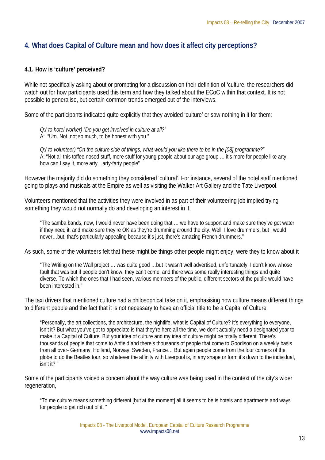## **4. What does Capital of Culture mean and how does it affect city perceptions?**

## **4.1. How is 'culture' perceived?**

While not specifically asking about or prompting for a discussion on their definition of 'culture, the researchers did watch out for how participants used this term and how they talked about the ECoC within that context. It is not possible to generalise, but certain common trends emerged out of the interviews.

Some of the participants indicated quite explicitly that they avoided 'culture' or saw nothing in it for them:

*Q:( to hotel worker) "Do you get involved in culture at all?"*  A: "Um. Not, not so much, to be honest with you."

*Q:( to volunteer) "On the culture side of things, what would you like there to be in the [08] programme?"*  A: "Not all this toffee nosed stuff, more stuff for young people about our age group … it's more for people like arty, how can I say it, more arty…arty-farty people"

However the majority did do something they considered 'cultural'. For instance, several of the hotel staff mentioned going to plays and musicals at the Empire as well as visiting the Walker Art Gallery and the Tate Liverpool.

Volunteers mentioned that the activities they were involved in as part of their volunteering job implied trying something they would not normally do and developing an interest in it,

"The samba bands, now, I would never have been doing that … we have to support and make sure they've got water if they need it, and make sure they're OK as they're drumming around the city. Well, I love drummers, but I would never…but, that's particularly appealing because it's just, there's amazing French drummers."

As such, some of the volunteers felt that these might be things other people might enjoy, were they to know about it

"The Writing on the Wall project … was quite good …but it wasn't well advertised, unfortunately. I don't know whose fault that was but if people don't know, they can't come, and there was some really interesting things and quite diverse. To which the ones that I had seen, various members of the public, different sectors of the public would have been interested in."

The taxi drivers that mentioned culture had a philosophical take on it, emphasising how culture means different things to different people and the fact that it is not necessary to have an official title to be a Capital of Culture:

"Personally, the art collections, the architecture, the nightlife, what is Capital of Culture? It's everything to everyone, isn't it? But what you've got to appreciate is that they're here all the time, we don't actually need a designated year to make it a Capital of Culture. But your idea of culture and my idea of culture might be totally different. There's thousands of people that come to Anfield and there's thousands of people that come to Goodison on a weekly basis from all over- Germany, Holland, Norway, Sweden, France… But again people come from the four corners of the globe to do the Beatles tour, so whatever the affinity with Liverpool is, in any shape or form it's down to the individual, isn't it? "

Some of the participants voiced a concern about the way culture was being used in the context of the city's wider regeneration,

"To me culture means something different [but at the moment] all it seems to be is hotels and apartments and ways for people to get rich out of it. "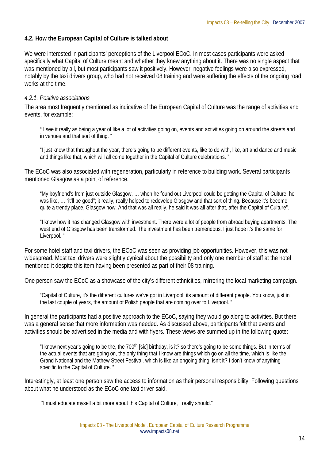## **4.2. How the European Capital of Culture is talked about**

We were interested in participants' perceptions of the Liverpool ECoC. In most cases participants were asked specifically what Capital of Culture meant and whether they knew anything about it. There was no single aspect that was mentioned by all, but most participants saw it positively. However, negative feelings were also expressed, notably by the taxi drivers group, who had not received 08 training and were suffering the effects of the ongoing road works at the time.

## *4.2.1. Positive associations*

The area most frequently mentioned as indicative of the European Capital of Culture was the range of activities and events, for example:

" I see it really as being a year of like a lot of activities going on, events and activities going on around the streets and in venues and that sort of thing. "

"I just know that throughout the year, there's going to be different events, like to do with, like, art and dance and music and things like that, which will all come together in the Capital of Culture celebrations. "

The ECoC was also associated with regeneration, particularly in reference to building work. Several participants mentioned Glasgow as a point of reference.

"My boyfriend's from just outside Glasgow, … when he found out Liverpool could be getting the Capital of Culture, he was like, … "it'll be good"; it really, really helped to redevelop Glasgow and that sort of thing. Because it's become quite a trendy place, Glasgow now. And that was all really, he said it was all after that, after the Capital of Culture".

"I know how it has changed Glasgow with investment. There were a lot of people from abroad buying apartments. The west end of Glasgow has been transformed. The investment has been tremendous. I just hope it's the same for Liverpool. "

For some hotel staff and taxi drivers, the ECoC was seen as providing job opportunities. However, this was not widespread. Most taxi drivers were slightly cynical about the possibility and only one member of staff at the hotel mentioned it despite this item having been presented as part of their 08 training.

One person saw the ECoC as a showcase of the city's different ethnicities, mirroring the local marketing campaign.

"Capital of Culture, it's the different cultures we've got in Liverpool, its amount of different people. You know, just in the last couple of years, the amount of Polish people that are coming over to Liverpool. "

In general the participants had a positive approach to the ECoC, saying they would go along to activities. But there was a general sense that more information was needed. As discussed above, participants felt that events and activities should be advertised in the media and with flyers. These views are summed up in the following quote:

"I know next year's going to be the, the 700<sup>th</sup> [sic] birthday, is it? so there's going to be some things. But in terms of the actual events that are going on, the only thing that I know are things which go on all the time, which is like the Grand National and the Mathew Street Festival, which is like an ongoing thing, isn't it? I don't know of anything specific to the Capital of Culture. "

Interestingly, at least one person saw the access to information as their personal responsibility. Following questions about what he understood as the ECoC one taxi driver said,

"I must educate myself a bit more about this Capital of Culture, I really should."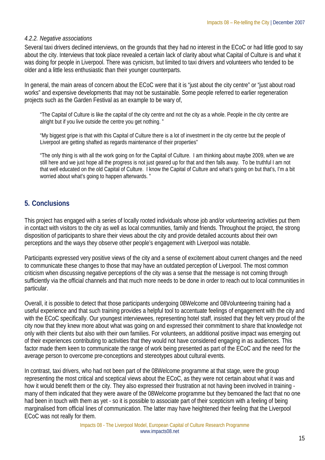## *4.2.2. Negative associations*

Several taxi drivers declined interviews, on the grounds that they had no interest in the ECoC or had little good to say about the city. Interviews that took place revealed a certain lack of clarity about what Capital of Culture is and what it was doing for people in Liverpool. There was cynicism, but limited to taxi drivers and volunteers who tended to be older and a little less enthusiastic than their younger counterparts.

In general, the main areas of concern about the ECoC were that it is "just about the city centre" or "just about road works" and expensive developments that may not be sustainable. Some people referred to earlier regeneration projects such as the Garden Festival as an example to be wary of,

"The Capital of Culture is like the capital of the city centre and not the city as a whole. People in the city centre are alright but if you live outside the centre you get nothing. "

"My biggest gripe is that with this Capital of Culture there is a lot of investment in the city centre but the people of Liverpool are getting shafted as regards maintenance of their properties"

"The only thing is with all the work going on for the Capital of Culture. I am thinking about maybe 2009, when we are still here and we just hope all the progress is not just geared up for that and then falls away. To be truthful I am not that well educated on the old Capital of Culture. I know the Capital of Culture and what's going on but that's, I'm a bit worried about what's going to happen afterwards. "

## **5. Conclusions**

This project has engaged with a series of locally rooted individuals whose job and/or volunteering activities put them in contact with visitors to the city as well as local communities, family and friends. Throughout the project, the strong disposition of participants to share their views about the city and provide detailed accounts about their own perceptions and the ways they observe other people's engagement with Liverpool was notable.

Participants expressed very positive views of the city and a sense of excitement about current changes and the need to communicate these changes to those that may have an outdated perception of Liverpool. The most common criticism when discussing negative perceptions of the city was a sense that the message is not coming through sufficiently via the official channels and that much more needs to be done in order to reach out to local communities in particular.

Overall, it is possible to detect that those participants undergoing 08Welcome and 08Volunteering training had a useful experience and that such training provides a helpful tool to accentuate feelings of engagement with the city and with the ECoC specifically. Our youngest interviewees, representing hotel staff, insisted that they felt very proud of the city now that they knew more about what was going on and expressed their commitment to share that knowledge not only with their clients but also with their own families. For volunteers, an additional positive impact was emerging out of their experiences contributing to activities that they would not have considered engaging in as audiences. This factor made them keen to communicate the range of work being presented as part of the ECoC and the need for the average person to overcome pre-conceptions and stereotypes about cultural events.

In contrast, taxi drivers, who had not been part of the 08Welcome programme at that stage, were the group representing the most critical and sceptical views about the ECoC, as they were not certain about what it was and how it would benefit them or the city. They also expressed their frustration at not having been involved in training many of them indicated that they were aware of the 08Welcome programme but they bemoaned the fact that no one had been in touch with them as yet - so it is possible to associate part of their scepticism with a feeling of being marginalised from official lines of communication. The latter may have heightened their feeling that the Liverpool ECoC was not really for them.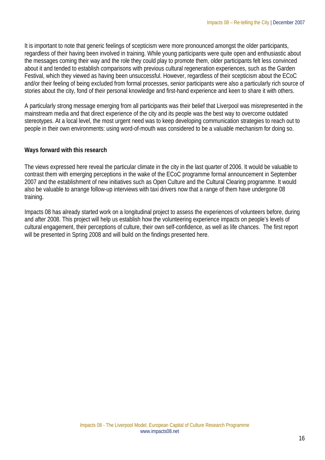It is important to note that generic feelings of scepticism were more pronounced amongst the older participants, regardless of their having been involved in training. While young participants were quite open and enthusiastic about the messages coming their way and the role they could play to promote them, older participants felt less convinced about it and tended to establish comparisons with previous cultural regeneration experiences, such as the Garden Festival, which they viewed as having been unsuccessful. However, regardless of their scepticism about the ECoC and/or their feeling of being excluded from formal processes, senior participants were also a particularly rich source of stories about the city, fond of their personal knowledge and first-hand experience and keen to share it with others.

A particularly strong message emerging from all participants was their belief that Liverpool was misrepresented in the mainstream media and that direct experience of the city and its people was the best way to overcome outdated stereotypes. At a local level, the most urgent need was to keep developing communication strategies to reach out to people in their own environments: using word-of-mouth was considered to be a valuable mechanism for doing so.

## **Ways forward with this research**

The views expressed here reveal the particular climate in the city in the last quarter of 2006. It would be valuable to contrast them with emerging perceptions in the wake of the ECoC programme formal announcement in September 2007 and the establishment of new initiatives such as Open Culture and the Cultural Clearing programme. It would also be valuable to arrange follow-up interviews with taxi drivers now that a range of them have undergone 08 training.

Impacts 08 has already started work on a longitudinal project to assess the experiences of volunteers before, during and after 2008. This project will help us establish how the volunteering experience impacts on people's levels of cultural engagement, their perceptions of culture, their own self-confidence, as well as life chances. The first report will be presented in Spring 2008 and will build on the findings presented here.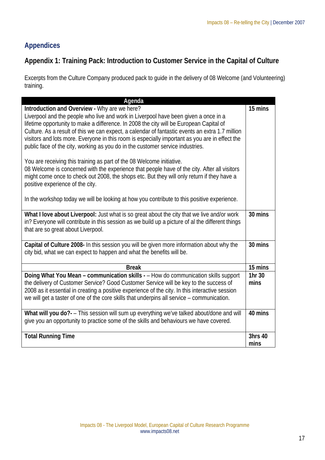# **Appendices**

## **Appendix 1: Training Pack: Introduction to Customer Service in the Capital of Culture**

Excerpts from the Culture Company produced pack to guide in the delivery of 08 Welcome (and Volunteering) training.

| Agenda                                                                                                                                                                                     |         |
|--------------------------------------------------------------------------------------------------------------------------------------------------------------------------------------------|---------|
| Introduction and Overview - Why are we here?                                                                                                                                               | 15 mins |
| Liverpool and the people who live and work in Liverpool have been given a once in a                                                                                                        |         |
| lifetime opportunity to make a difference. In 2008 the city will be European Capital of                                                                                                    |         |
| Culture. As a result of this we can expect, a calendar of fantastic events an extra 1.7 million                                                                                            |         |
| visitors and lots more. Everyone in this room is especially important as you are in effect the                                                                                             |         |
| public face of the city, working as you do in the customer service industries.                                                                                                             |         |
|                                                                                                                                                                                            |         |
| You are receiving this training as part of the 08 Welcome initiative.                                                                                                                      |         |
| 08 Welcome is concerned with the experience that people have of the city. After all visitors<br>might come once to check out 2008, the shops etc. But they will only return if they have a |         |
| positive experience of the city.                                                                                                                                                           |         |
|                                                                                                                                                                                            |         |
| In the workshop today we will be looking at how you contribute to this positive experience.                                                                                                |         |
|                                                                                                                                                                                            |         |
| What I love about Liverpool: Just what is so great about the city that we live and/or work                                                                                                 | 30 mins |
| in? Everyone will contribute in this session as we build up a picture of al the different things                                                                                           |         |
| that are so great about Liverpool.                                                                                                                                                         |         |
|                                                                                                                                                                                            |         |
| Capital of Culture 2008- In this session you will be given more information about why the                                                                                                  | 30 mins |
| city bid, what we can expect to happen and what the benefits will be.                                                                                                                      |         |
| <b>Break</b>                                                                                                                                                                               | 15 mins |
| Doing What You Mean - communication skills - - How do communication skills support                                                                                                         | 1hr 30  |
| the delivery of Customer Service? Good Customer Service will be key to the success of                                                                                                      | mins    |
| 2008 as it essential in creating a positive experience of the city. In this interactive session                                                                                            |         |
| we will get a taster of one of the core skills that underpins all service - communication.                                                                                                 |         |
|                                                                                                                                                                                            |         |
| What will you do?- - This session will sum up everything we've talked about/done and will                                                                                                  | 40 mins |
| give you an opportunity to practice some of the skills and behaviours we have covered.                                                                                                     |         |
| <b>Total Running Time</b>                                                                                                                                                                  | 3hrs 40 |
|                                                                                                                                                                                            | mins    |